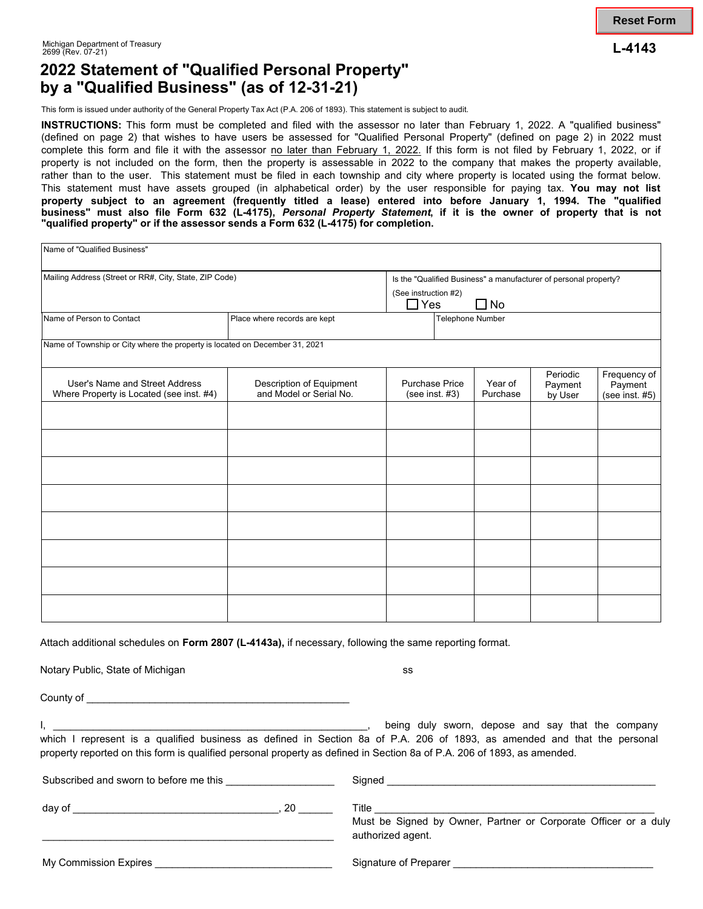## **2022 Statement of "Qualified Personal Property" by a "Qualified Business" (as of 12-31-21)**

This form is issued under authority of the General Property Tax Act (P.A. 206 of 1893). This statement is subject to audit.

**INSTRUCTIONS:** This form must be completed and filed with the assessor no later than February 1, 2022. A "qualified business" (defined on page 2) that wishes to have users be assessed for "Qualified Personal Property" (defined on page 2) in 2022 must complete this form and file it with the assessor no later than February 1, 2022. If this form is not filed by February 1, 2022, or if property is not included on the form, then the property is assessable in 2022 to the company that makes the property available, rather than to the user. This statement must be filed in each township and city where property is located using the format below. This statement must have assets grouped (in alphabetical order) by the user responsible for paying tax. **You may not list property subject to an agreement (frequently titled a lease) entered into before January 1, 1994. The "qualified business" must also file Form 632 (L-4175),** *Personal Property Statement***, if it is the owner of property that is not "qualified property" or if the assessor sends a Form 632 (L-4175) for completion.** 

| Name of "Qualified Business"                                                |                                                                  |                                         |  |                     |                                |                                              |
|-----------------------------------------------------------------------------|------------------------------------------------------------------|-----------------------------------------|--|---------------------|--------------------------------|----------------------------------------------|
| Mailing Address (Street or RR#, City, State, ZIP Code)                      | Is the "Qualified Business" a manufacturer of personal property? |                                         |  |                     |                                |                                              |
|                                                                             |                                                                  | (See instruction #2)<br>$\Box$ Yes      |  | $\square$ No        |                                |                                              |
| Name of Person to Contact                                                   | Place where records are kept                                     | Telephone Number                        |  |                     |                                |                                              |
| Name of Township or City where the property is located on December 31, 2021 |                                                                  |                                         |  |                     |                                |                                              |
| User's Name and Street Address<br>Where Property is Located (see inst. #4)  | Description of Equipment<br>and Model or Serial No.              | <b>Purchase Price</b><br>(see inst. #3) |  | Year of<br>Purchase | Periodic<br>Payment<br>by User | Frequency of<br>Payment<br>(see inst. $#5$ ) |
|                                                                             |                                                                  |                                         |  |                     |                                |                                              |
|                                                                             |                                                                  |                                         |  |                     |                                |                                              |
|                                                                             |                                                                  |                                         |  |                     |                                |                                              |
|                                                                             |                                                                  |                                         |  |                     |                                |                                              |
|                                                                             |                                                                  |                                         |  |                     |                                |                                              |
|                                                                             |                                                                  |                                         |  |                     |                                |                                              |
|                                                                             |                                                                  |                                         |  |                     |                                |                                              |
|                                                                             |                                                                  |                                         |  |                     |                                |                                              |

Attach additional schedules on **Form 2807 (L-4143a),** if necessary, following the same reporting format.

Notary Public, State of Michigan state of  $\sim$  ss.

County of \_\_\_\_\_\_\_\_\_\_\_\_\_\_\_\_\_\_\_\_\_\_\_\_\_\_\_\_\_\_\_\_\_\_\_\_\_\_\_\_\_\_\_\_\_\_

I, \_\_\_\_\_\_\_\_\_\_\_\_\_\_\_\_\_\_\_\_\_\_\_\_\_\_\_\_\_\_\_\_\_\_\_\_\_\_\_\_\_\_\_\_\_\_\_\_\_\_\_\_\_\_\_, being duly sworn, depose and say that the company which I represent is a qualified business as defined in Section 8a of P.A. 206 of 1893, as amended and that the personal property reported on this form is qualified personal property as defined in Section 8a of P.A. 206 of 1893, as amended.

| Subscribed and sworn to before me this | Sianed                                                                                              |
|----------------------------------------|-----------------------------------------------------------------------------------------------------|
| day of                                 | 20<br>Title<br>Must be Signed by Owner, Partner or Corporate Officer or a duly<br>authorized agent. |
| My Commission Expires                  | Signature of Preparer                                                                               |